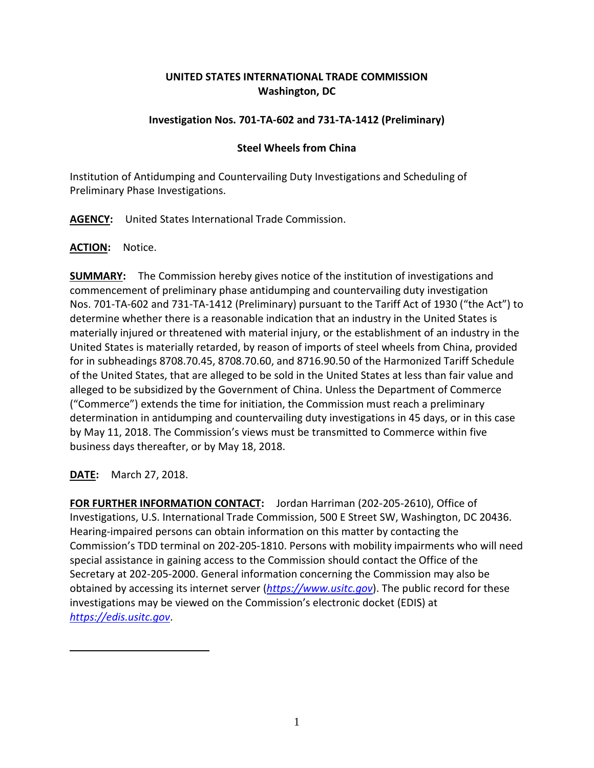## **UNITED STATES INTERNATIONAL TRADE COMMISSION Washington, DC**

## **Investigation Nos. 701-TA-602 and 731-TA-1412 (Preliminary)**

## **Steel Wheels from China**

Institution of Antidumping and Countervailing Duty Investigations and Scheduling of Preliminary Phase Investigations.

**AGENCY:** United States International Trade Commission.

**ACTION:** Notice.

**SUMMARY:** The Commission hereby gives notice of the institution of investigations and commencement of preliminary phase antidumping and countervailing duty investigation Nos. 701-TA-602 and 731-TA-1412 (Preliminary) pursuant to the Tariff Act of 1930 ("the Act") to determine whether there is a reasonable indication that an industry in the United States is materially injured or threatened with material injury, or the establishment of an industry in the United States is materially retarded, by reason of imports of steel wheels from China, provided for in subheadings 8708.70.45, 8708.70.60, and 8716.90.50 of the Harmonized Tariff Schedule of the United States, that are alleged to be sold in the United States at less than fair value and alleged to be subsidized by the Government of China. Unless the Department of Commerce ("Commerce") extends the time for initiation, the Commission must reach a preliminary determination in antidumping and countervailing duty investigations in 45 days, or in this case by May 11, 2018. The Commission's views must be transmitted to Commerce within five business days thereafter, or by May 18, 2018.

**DATE:** March 27, 2018.

**FOR FURTHER INFORMATION CONTACT:** Jordan Harriman (202-205-2610), Office of Investigations, U.S. International Trade Commission, 500 E Street SW, Washington, DC 20436. Hearing-impaired persons can obtain information on this matter by contacting the Commission's TDD terminal on 202-205-1810. Persons with mobility impairments who will need special assistance in gaining access to the Commission should contact the Office of the Secretary at 202-205-2000. General information concerning the Commission may also be obtained by accessing its internet server (*[https://www.usitc.gov](https://www.usitc.gov/)*). The public record for these investigations may be viewed on the Commission's electronic docket (EDIS) at *[https://edis.usitc.gov](https://edis.usitc.gov/)*.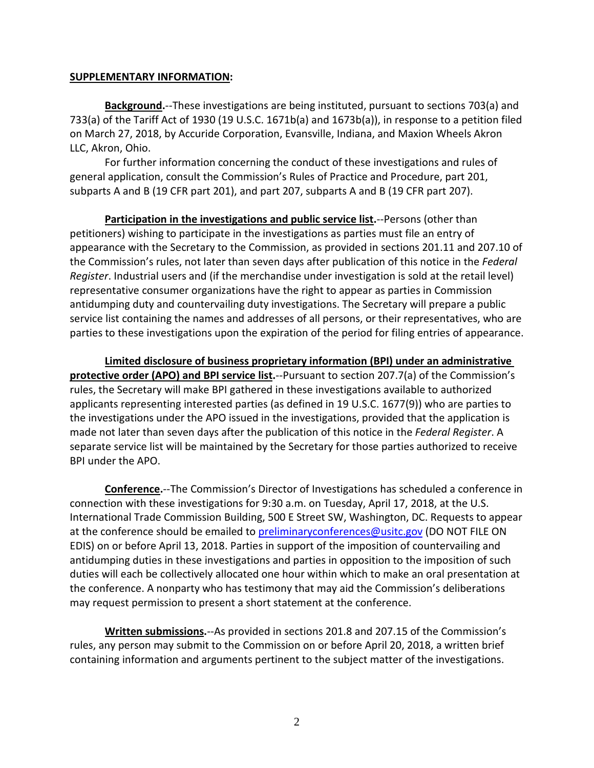## **SUPPLEMENTARY INFORMATION:**

**Background.**--These investigations are being instituted, pursuant to sections 703(a) and 733(a) of the Tariff Act of 1930 (19 U.S.C. 1671b(a) and 1673b(a)), in response to a petition filed on March 27, 2018, by Accuride Corporation, Evansville, Indiana, and Maxion Wheels Akron LLC, Akron, Ohio.

For further information concerning the conduct of these investigations and rules of general application, consult the Commission's Rules of Practice and Procedure, part 201, subparts A and B (19 CFR part 201), and part 207, subparts A and B (19 CFR part 207).

**Participation in the investigations and public service list.**--Persons (other than petitioners) wishing to participate in the investigations as parties must file an entry of appearance with the Secretary to the Commission, as provided in sections 201.11 and 207.10 of the Commission's rules, not later than seven days after publication of this notice in the *Federal Register*. Industrial users and (if the merchandise under investigation is sold at the retail level) representative consumer organizations have the right to appear as parties in Commission antidumping duty and countervailing duty investigations. The Secretary will prepare a public service list containing the names and addresses of all persons, or their representatives, who are parties to these investigations upon the expiration of the period for filing entries of appearance.

**Limited disclosure of business proprietary information (BPI) under an administrative protective order (APO) and BPI service list.**--Pursuant to section 207.7(a) of the Commission's rules, the Secretary will make BPI gathered in these investigations available to authorized applicants representing interested parties (as defined in 19 U.S.C. 1677(9)) who are parties to the investigations under the APO issued in the investigations, provided that the application is made not later than seven days after the publication of this notice in the *Federal Register*. A separate service list will be maintained by the Secretary for those parties authorized to receive BPI under the APO.

**Conference.**--The Commission's Director of Investigations has scheduled a conference in connection with these investigations for 9:30 a.m. on Tuesday, April 17, 2018, at the U.S. International Trade Commission Building, 500 E Street SW, Washington, DC. Requests to appear at the conference should be emailed to [preliminaryconferences@usitc.gov](mailto:preliminaryconferences@usitc.gov) (DO NOT FILE ON EDIS) on or before April 13, 2018. Parties in support of the imposition of countervailing and antidumping duties in these investigations and parties in opposition to the imposition of such duties will each be collectively allocated one hour within which to make an oral presentation at the conference. A nonparty who has testimony that may aid the Commission's deliberations may request permission to present a short statement at the conference.

**Written submissions.**--As provided in sections 201.8 and 207.15 of the Commission's rules, any person may submit to the Commission on or before April 20, 2018, a written brief containing information and arguments pertinent to the subject matter of the investigations.